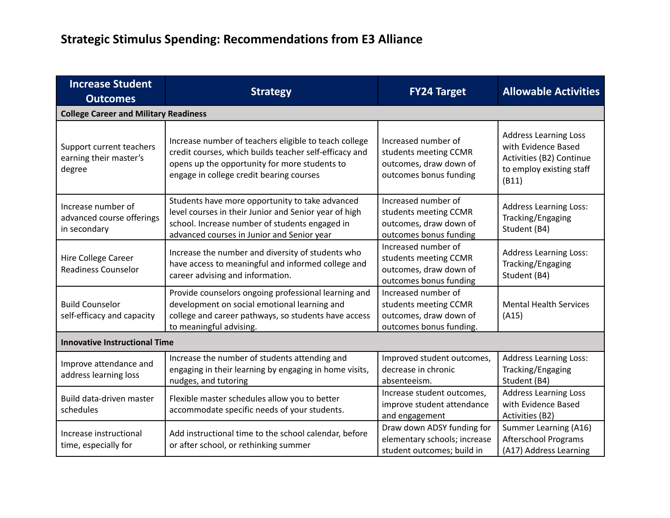## **Strategic Stimulus Spending: Recommendations from E3 Alliance**

| <b>Increase Student</b><br><b>Outcomes</b>                      | <b>Strategy</b>                                                                                                                                                                                              | <b>FY24 Target</b>                                                                                | <b>Allowable Activities</b>                                                                                          |  |
|-----------------------------------------------------------------|--------------------------------------------------------------------------------------------------------------------------------------------------------------------------------------------------------------|---------------------------------------------------------------------------------------------------|----------------------------------------------------------------------------------------------------------------------|--|
| <b>College Career and Military Readiness</b>                    |                                                                                                                                                                                                              |                                                                                                   |                                                                                                                      |  |
| Support current teachers<br>earning their master's<br>degree    | Increase number of teachers eligible to teach college<br>credit courses, which builds teacher self-efficacy and<br>opens up the opportunity for more students to<br>engage in college credit bearing courses | Increased number of<br>students meeting CCMR<br>outcomes, draw down of<br>outcomes bonus funding  | <b>Address Learning Loss</b><br>with Evidence Based<br>Activities (B2) Continue<br>to employ existing staff<br>(B11) |  |
| Increase number of<br>advanced course offerings<br>in secondary | Students have more opportunity to take advanced<br>level courses in their Junior and Senior year of high<br>school. Increase number of students engaged in<br>advanced courses in Junior and Senior year     | Increased number of<br>students meeting CCMR<br>outcomes, draw down of<br>outcomes bonus funding  | <b>Address Learning Loss:</b><br>Tracking/Engaging<br>Student (B4)                                                   |  |
| Hire College Career<br><b>Readiness Counselor</b>               | Increase the number and diversity of students who<br>have access to meaningful and informed college and<br>career advising and information.                                                                  | Increased number of<br>students meeting CCMR<br>outcomes, draw down of<br>outcomes bonus funding  | <b>Address Learning Loss:</b><br>Tracking/Engaging<br>Student (B4)                                                   |  |
| <b>Build Counselor</b><br>self-efficacy and capacity            | Provide counselors ongoing professional learning and<br>development on social emotional learning and<br>college and career pathways, so students have access<br>to meaningful advising.                      | Increased number of<br>students meeting CCMR<br>outcomes, draw down of<br>outcomes bonus funding. | <b>Mental Health Services</b><br>(A15)                                                                               |  |
| <b>Innovative Instructional Time</b>                            |                                                                                                                                                                                                              |                                                                                                   |                                                                                                                      |  |
| Improve attendance and<br>address learning loss                 | Increase the number of students attending and<br>engaging in their learning by engaging in home visits,<br>nudges, and tutoring                                                                              | Improved student outcomes,<br>decrease in chronic<br>absenteeism.                                 | <b>Address Learning Loss:</b><br>Tracking/Engaging<br>Student (B4)                                                   |  |
| Build data-driven master<br>schedules                           | Flexible master schedules allow you to better<br>accommodate specific needs of your students.                                                                                                                | Increase student outcomes,<br>improve student attendance<br>and engagement                        | <b>Address Learning Loss</b><br>with Evidence Based<br>Activities (B2)                                               |  |
| Increase instructional<br>time, especially for                  | Add instructional time to the school calendar, before<br>or after school, or rethinking summer                                                                                                               | Draw down ADSY funding for<br>elementary schools; increase<br>student outcomes; build in          | Summer Learning (A16)<br><b>Afterschool Programs</b><br>(A17) Address Learning                                       |  |